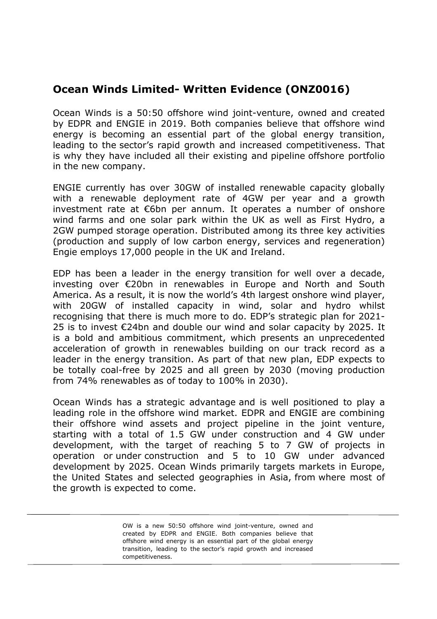## **Ocean Winds Limited- Written Evidence (ONZ0016)**

Ocean Winds is a 50:50 offshore wind joint-venture, owned and created by EDPR and ENGIE in 2019. Both companies believe that offshore wind energy is becoming an essential part of the global energy transition, leading to the sector's rapid growth and increased competitiveness. That is why they have included all their existing and pipeline offshore portfolio in the new company.

ENGIE currently has over 30GW of installed renewable capacity globally with a renewable deployment rate of 4GW per year and a growth investment rate at €6bn per annum. It operates a number of onshore wind farms and one solar park within the UK as well as First Hydro, a 2GW pumped storage operation. Distributed among its three key activities (production and supply of low carbon energy, services and regeneration) Engie employs 17,000 people in the UK and Ireland.

EDP has been a leader in the energy transition for well over a decade, investing over €20bn in renewables in Europe and North and South America. As a result, it is now the world's 4th largest onshore wind player, with 20GW of installed capacity in wind, solar and hydro whilst recognising that there is much more to do. EDP's strategic plan for 2021- 25 is to invest €24bn and double our wind and solar capacity by 2025. It is a bold and ambitious commitment, which presents an unprecedented acceleration of growth in renewables building on our track record as a leader in the energy transition. As part of that new plan, EDP expects to be totally coal-free by 2025 and all green by 2030 (moving production from 74% renewables as of today to 100% in 2030).

Ocean Winds has a strategic advantage and is well positioned to play a leading role in the offshore wind market. EDPR and ENGIE are combining their offshore wind assets and project pipeline in the joint venture, starting with a total of 1.5 GW under construction and 4 GW under development, with the target of reaching 5 to 7 GW of projects in operation or under construction and 5 to 10 GW under advanced development by 2025. Ocean Winds primarily targets markets in Europe, the United States and selected geographies in Asia, from where most of the growth is expected to come.

> OW is a new 50:50 offshore wind joint-venture, owned and created by EDPR and ENGIE. Both companies believe that offshore wind energy is an essential part of the global energy transition, leading to the sector's rapid growth and increased competitiveness.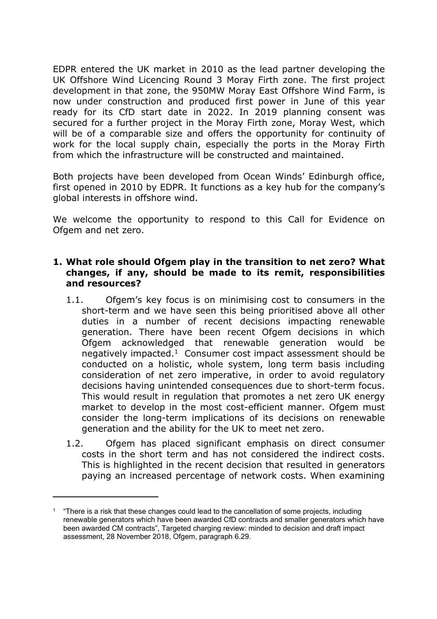EDPR entered the UK market in 2010 as the lead partner developing the UK Offshore Wind Licencing Round 3 Moray Firth zone. The first project development in that zone, the 950MW Moray East Offshore Wind Farm, is now under construction and produced first power in June of this year ready for its CfD start date in 2022. In 2019 planning consent was secured for a further project in the Moray Firth zone, Moray West, which will be of a comparable size and offers the opportunity for continuity of work for the local supply chain, especially the ports in the Moray Firth from which the infrastructure will be constructed and maintained.

Both projects have been developed from Ocean Winds' Edinburgh office, first opened in 2010 by EDPR. It functions as a key hub for the company's global interests in offshore wind.

We welcome the opportunity to respond to this Call for Evidence on Ofgem and net zero.

## **1. What role should Ofgem play in the transition to net zero? What changes, if any, should be made to its remit, responsibilities and resources?**

- 1.1. Ofgem's key focus is on minimising cost to consumers in the short-term and we have seen this being prioritised above all other duties in a number of recent decisions impacting renewable generation. There have been recent Ofgem decisions in which Ofgem acknowledged that renewable generation would be negatively impacted.<sup>1</sup> Consumer cost impact assessment should be conducted on a holistic, whole system, long term basis including consideration of net zero imperative, in order to avoid regulatory decisions having unintended consequences due to short-term focus. This would result in regulation that promotes a net zero UK energy market to develop in the most cost-efficient manner. Ofgem must consider the long-term implications of its decisions on renewable generation and the ability for the UK to meet net zero.
- 1.2. Ofgem has placed significant emphasis on direct consumer costs in the short term and has not considered the indirect costs. This is highlighted in the recent decision that resulted in generators paying an increased percentage of network costs. When examining

<sup>1</sup> "There is a risk that these changes could lead to the cancellation of some projects, including renewable generators which have been awarded CfD contracts and smaller generators which have been awarded CM contracts", Targeted charging review: minded to decision and draft impact assessment, 28 November 2018, Ofgem, paragraph 6.29.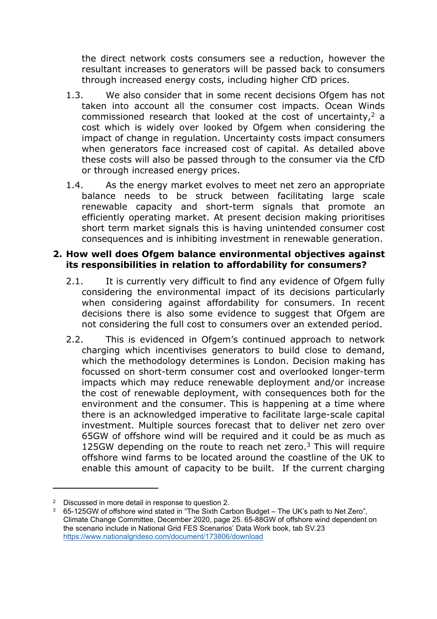the direct network costs consumers see a reduction, however the resultant increases to generators will be passed back to consumers through increased energy costs, including higher CfD prices.

- 1.3. We also consider that in some recent decisions Ofgem has not taken into account all the consumer cost impacts. Ocean Winds commissioned research that looked at the cost of uncertainty,<sup>2</sup> a cost which is widely over looked by Ofgem when considering the impact of change in regulation. Uncertainty costs impact consumers when generators face increased cost of capital. As detailed above these costs will also be passed through to the consumer via the CfD or through increased energy prices.
- 1.4. As the energy market evolves to meet net zero an appropriate balance needs to be struck between facilitating large scale renewable capacity and short-term signals that promote an efficiently operating market. At present decision making prioritises short term market signals this is having unintended consumer cost consequences and is inhibiting investment in renewable generation.

## **2. How well does Ofgem balance environmental objectives against its responsibilities in relation to affordability for consumers?**

- 2.1. It is currently very difficult to find any evidence of Ofgem fully considering the environmental impact of its decisions particularly when considering against affordability for consumers. In recent decisions there is also some evidence to suggest that Ofgem are not considering the full cost to consumers over an extended period.
- 2.2. This is evidenced in Ofgem's continued approach to network charging which incentivises generators to build close to demand, which the methodology determines is London. Decision making has focussed on short-term consumer cost and overlooked longer-term impacts which may reduce renewable deployment and/or increase the cost of renewable deployment, with consequences both for the environment and the consumer. This is happening at a time where there is an acknowledged imperative to facilitate large-scale capital investment. Multiple sources forecast that to deliver net zero over 65GW of offshore wind will be required and it could be as much as 125GW depending on the route to reach net zero.<sup>3</sup> This will require offshore wind farms to be located around the coastline of the UK to enable this amount of capacity to be built. If the current charging

<sup>2</sup> Discussed in more detail in response to question 2.

 $3\quad$  65-125GW of offshore wind stated in "The Sixth Carbon Budget – The UK's path to Net Zero". Climate Change Committee, December 2020, page 25. 65-88GW of offshore wind dependent on the scenario include in National Grid FES Scenarios' Data Work book, tab SV.23 <https://www.nationalgrideso.com/document/173806/download>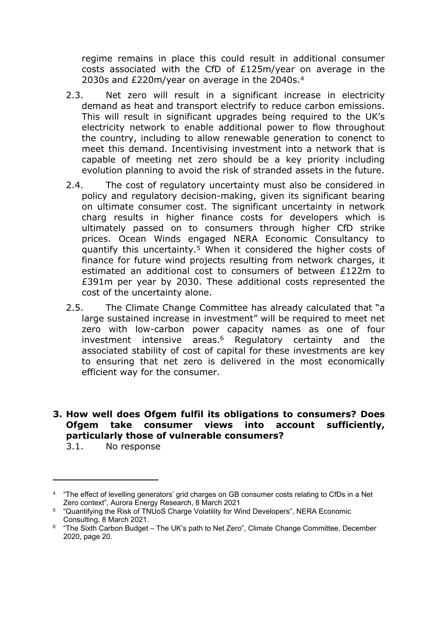regime remains in place this could result in additional consumer costs associated with the CfD of £125m/year on average in the 2030s and £220m/year on average in the 2040s.<sup>4</sup>

- 2.3. Net zero will result in a significant increase in electricity demand as heat and transport electrify to reduce carbon emissions. This will result in significant upgrades being required to the UK's electricity network to enable additional power to flow throughout the country, including to allow renewable generation to conenct to meet this demand. Incentivising investment into a network that is capable of meeting net zero should be a key priority including evolution planning to avoid the risk of stranded assets in the future.
- 2.4. The cost of regulatory uncertainty must also be considered in policy and regulatory decision-making, given its significant bearing on ultimate consumer cost. The significant uncertainty in network charg results in higher finance costs for developers which is ultimately passed on to consumers through higher CfD strike prices. Ocean Winds engaged NERA Economic Consultancy to quantify this uncertainty.<sup>5</sup> When it considered the higher costs of finance for future wind projects resulting from network charges, it estimated an additional cost to consumers of between £122m to £391m per year by 2030. These additional costs represented the cost of the uncertainty alone.
- 2.5. The Climate Change Committee has already calculated that "a large sustained increase in investment" will be required to meet net zero with low-carbon power capacity names as one of four investment intensive areas.<sup>6</sup> Regulatory certainty and the associated stability of cost of capital for these investments are key to ensuring that net zero is delivered in the most economically efficient way for the consumer.

## **3. How well does Ofgem fulfil its obligations to consumers? Does Ofgem take consumer views into account sufficiently, particularly those of vulnerable consumers?**

3.1. No response

<sup>4</sup> "The effect of levelling generators' grid charges on GB consumer costs relating to CfDs in a Net Zero context", Aurora Energy Research, 8 March 2021

<sup>5</sup> "Quantifying the Risk of TNUoS Charge Volatility for Wind Developers", NERA Economic Consulting, 8 March 2021.

<sup>&</sup>lt;sup>6</sup> "The Sixth Carbon Budget – The UK's path to Net Zero", Climate Change Committee, December 2020, page 20.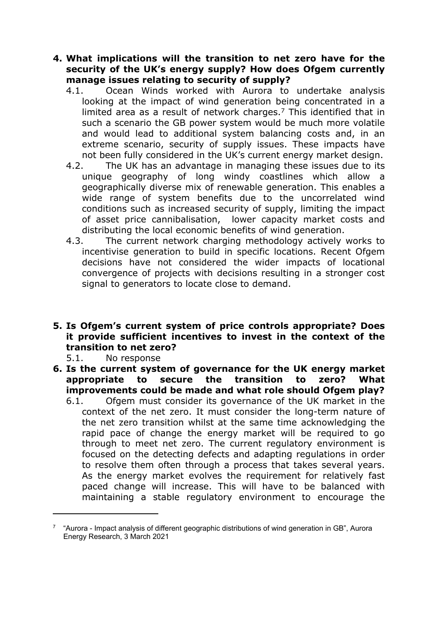- **4. What implications will the transition to net zero have for the security of the UK's energy supply? How does Ofgem currently manage issues relating to security of supply?**
	- 4.1. Ocean Winds worked with Aurora to undertake analysis looking at the impact of wind generation being concentrated in a limited area as a result of network charges.<sup>7</sup> This identified that in such a scenario the GB power system would be much more volatile and would lead to additional system balancing costs and, in an extreme scenario, security of supply issues. These impacts have not been fully considered in the UK's current energy market design.
	- 4.2. The UK has an advantage in managing these issues due to its unique geography of long windy coastlines which allow a geographically diverse mix of renewable generation. This enables a wide range of system benefits due to the uncorrelated wind conditions such as increased security of supply, limiting the impact of asset price cannibalisation, lower capacity market costs and distributing the local economic benefits of wind generation.
	- 4.3. The current network charging methodology actively works to incentivise generation to build in specific locations. Recent Ofgem decisions have not considered the wider impacts of locational convergence of projects with decisions resulting in a stronger cost signal to generators to locate close to demand.
- **5. Is Ofgem's current system of price controls appropriate? Does it provide sufficient incentives to invest in the context of the transition to net zero?**

5.1. No response

- **6. Is the current system of governance for the UK energy market appropriate to secure the transition to zero? What improvements could be made and what role should Ofgem play?**
	- 6.1. Ofgem must consider its governance of the UK market in the context of the net zero. It must consider the long-term nature of the net zero transition whilst at the same time acknowledging the rapid pace of change the energy market will be required to go through to meet net zero. The current regulatory environment is focused on the detecting defects and adapting regulations in order to resolve them often through a process that takes several years. As the energy market evolves the requirement for relatively fast paced change will increase. This will have to be balanced with maintaining a stable regulatory environment to encourage the

<sup>7</sup> "Aurora - Impact analysis of different geographic distributions of wind generation in GB", Aurora Energy Research, 3 March 2021